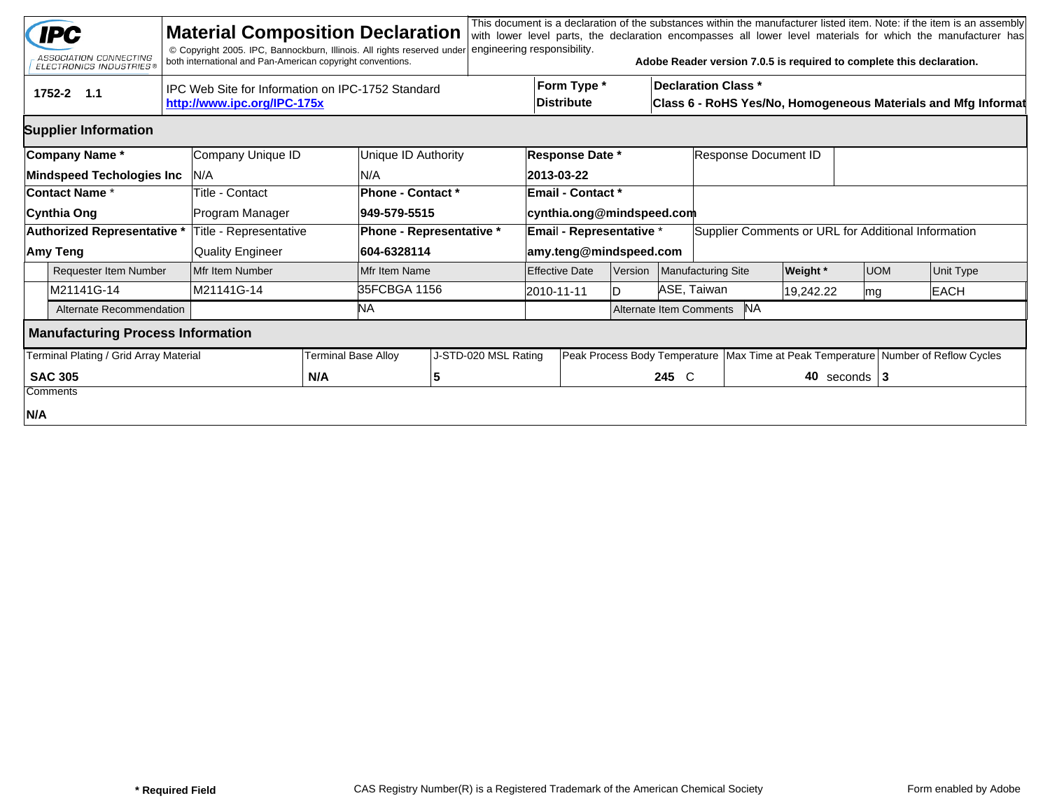|     | <b>IPC</b><br>ASSOCIATION CONNECTING<br><b>ELECTRONICS INDUSTRIES®</b> | <b>Material Composition Declaration</b><br>© Copyright 2005. IPC, Bannockburn, Illinois. All rights reserved under<br>both international and Pan-American copyright conventions. |                           |                                                                                             | engineering responsibility. |                                         |                           |         |                                      | Adobe Reader version 7.0.5 is required to complete this declaration.                   |           |                  |  | This document is a declaration of the substances within the manufacturer listed item. Note: if the item is an assembly<br>with lower level parts, the declaration encompasses all lower level materials for which the manufacturer has |  |
|-----|------------------------------------------------------------------------|----------------------------------------------------------------------------------------------------------------------------------------------------------------------------------|---------------------------|---------------------------------------------------------------------------------------------|-----------------------------|-----------------------------------------|---------------------------|---------|--------------------------------------|----------------------------------------------------------------------------------------|-----------|------------------|--|----------------------------------------------------------------------------------------------------------------------------------------------------------------------------------------------------------------------------------------|--|
|     | 1752-2 1.1                                                             |                                                                                                                                                                                  | Form Type *<br>Distribute | <b>Declaration Class *</b><br>Class 6 - RoHS Yes/No, Homogeneous Materials and Mfg Informat |                             |                                         |                           |         |                                      |                                                                                        |           |                  |  |                                                                                                                                                                                                                                        |  |
|     | <b>Supplier Information</b>                                            |                                                                                                                                                                                  |                           |                                                                                             |                             |                                         |                           |         |                                      |                                                                                        |           |                  |  |                                                                                                                                                                                                                                        |  |
|     | Company Name*                                                          | Company Unique ID                                                                                                                                                                |                           | Unique ID Authority                                                                         |                             | Response Date *<br>Response Document ID |                           |         |                                      |                                                                                        |           |                  |  |                                                                                                                                                                                                                                        |  |
|     | <b>Mindspeed Techologies Inc</b>                                       | IN/A                                                                                                                                                                             |                           | N/A                                                                                         |                             |                                         | 2013-03-22                |         |                                      |                                                                                        |           |                  |  |                                                                                                                                                                                                                                        |  |
|     | Contact Name *                                                         | Title - Contact                                                                                                                                                                  |                           | Phone - Contact *                                                                           |                             |                                         | <b>Email - Contact *</b>  |         |                                      |                                                                                        |           |                  |  |                                                                                                                                                                                                                                        |  |
|     | Cynthia Ong                                                            | Program Manager                                                                                                                                                                  |                           | 949-579-5515                                                                                |                             |                                         | cynthia.ong@mindspeed.com |         |                                      |                                                                                        |           |                  |  |                                                                                                                                                                                                                                        |  |
|     | Authorized Representative *                                            | Title - Representative                                                                                                                                                           |                           | Phone - Representative *                                                                    |                             |                                         | Email - Representative *  |         |                                      | Supplier Comments or URL for Additional Information                                    |           |                  |  |                                                                                                                                                                                                                                        |  |
|     | Amy Teng                                                               | <b>Quality Engineer</b>                                                                                                                                                          |                           | 604-6328114                                                                                 |                             |                                         | amy.teng@mindspeed.com    |         |                                      |                                                                                        |           |                  |  |                                                                                                                                                                                                                                        |  |
|     | <b>Requester Item Number</b>                                           | Mfr Item Number                                                                                                                                                                  |                           | Mfr Item Name                                                                               |                             |                                         | <b>Effective Date</b>     | Version |                                      | Manufacturing Site                                                                     | Weight *  | <b>UOM</b>       |  | Unit Type                                                                                                                                                                                                                              |  |
|     | M21141G-14                                                             | M21141G-14                                                                                                                                                                       |                           | 35FCBGA 1156                                                                                |                             |                                         | 2010-11-11                |         | ASE, Taiwan                          |                                                                                        | 19,242.22 | mg               |  | <b>EACH</b>                                                                                                                                                                                                                            |  |
|     | Alternate Recommendation                                               |                                                                                                                                                                                  |                           | ΝA                                                                                          |                             |                                         |                           |         | <b>NA</b><br>Alternate Item Comments |                                                                                        |           |                  |  |                                                                                                                                                                                                                                        |  |
|     | <b>Manufacturing Process Information</b>                               |                                                                                                                                                                                  |                           |                                                                                             |                             |                                         |                           |         |                                      |                                                                                        |           |                  |  |                                                                                                                                                                                                                                        |  |
|     | Terminal Plating / Grid Array Material                                 | <b>Terminal Base Alloy</b>                                                                                                                                                       |                           | J-STD-020 MSL Rating                                                                        |                             |                                         |                           |         |                                      | Peak Process Body Temperature   Max Time at Peak Temperature   Number of Reflow Cycles |           |                  |  |                                                                                                                                                                                                                                        |  |
|     | <b>SAC 305</b>                                                         |                                                                                                                                                                                  | N/A                       |                                                                                             | 5                           |                                         |                           |         | 245 C                                |                                                                                        |           | 40 seconds $ 3 $ |  |                                                                                                                                                                                                                                        |  |
|     | Comments                                                               |                                                                                                                                                                                  |                           |                                                                                             |                             |                                         |                           |         |                                      |                                                                                        |           |                  |  |                                                                                                                                                                                                                                        |  |
| N/A |                                                                        |                                                                                                                                                                                  |                           |                                                                                             |                             |                                         |                           |         |                                      |                                                                                        |           |                  |  |                                                                                                                                                                                                                                        |  |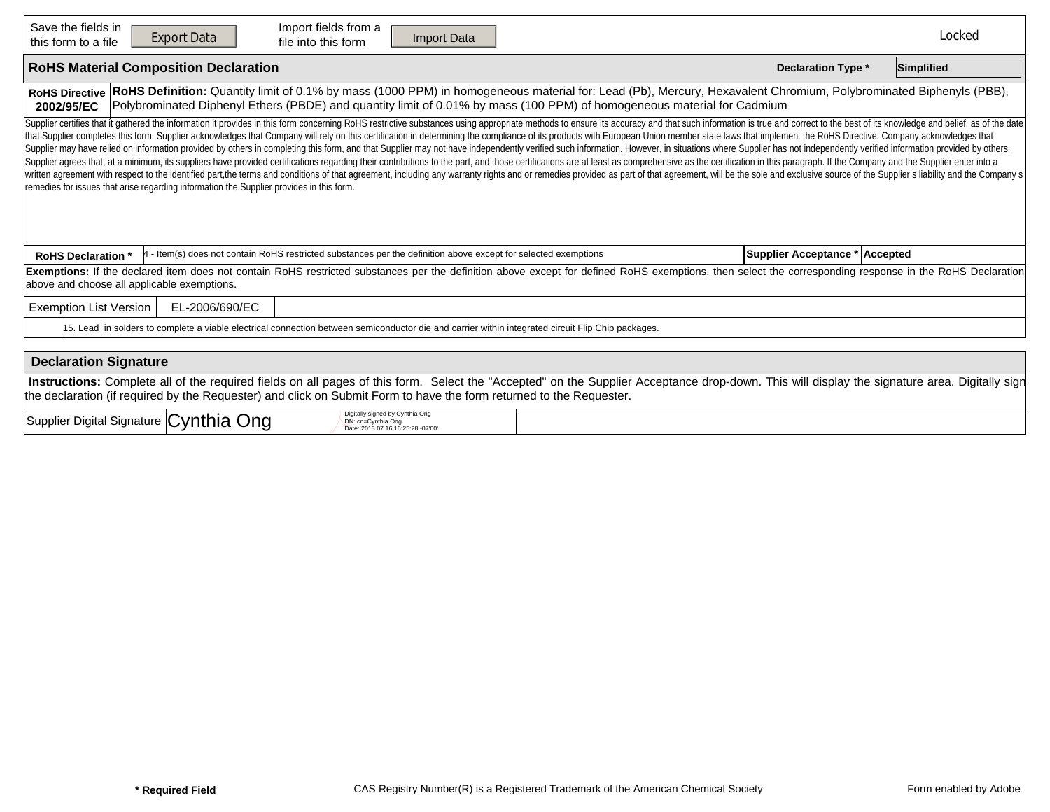| Save the fields in<br>Import fields from a<br><b>Export Data</b><br>Import Data<br>file into this form<br>this form to a file                                                                                                                                                                                                                                                                                                                                                                                                                                                                                                                                                                                                                                                                                                                                                                                                                                                                                                                                                                                                                                                                                                                                     |                                | Locked     |  |  |  |  |  |  |  |  |  |
|-------------------------------------------------------------------------------------------------------------------------------------------------------------------------------------------------------------------------------------------------------------------------------------------------------------------------------------------------------------------------------------------------------------------------------------------------------------------------------------------------------------------------------------------------------------------------------------------------------------------------------------------------------------------------------------------------------------------------------------------------------------------------------------------------------------------------------------------------------------------------------------------------------------------------------------------------------------------------------------------------------------------------------------------------------------------------------------------------------------------------------------------------------------------------------------------------------------------------------------------------------------------|--------------------------------|------------|--|--|--|--|--|--|--|--|--|
| <b>RoHS Material Composition Declaration</b>                                                                                                                                                                                                                                                                                                                                                                                                                                                                                                                                                                                                                                                                                                                                                                                                                                                                                                                                                                                                                                                                                                                                                                                                                      | <b>Declaration Type *</b>      | Simplified |  |  |  |  |  |  |  |  |  |
| RoHS Definition: Quantity limit of 0.1% by mass (1000 PPM) in homogeneous material for: Lead (Pb), Mercury, Hexavalent Chromium, Polybrominated Biphenyls (PBB),<br><b>RoHS Directive</b><br>Polybrominated Diphenyl Ethers (PBDE) and quantity limit of 0.01% by mass (100 PPM) of homogeneous material for Cadmium<br>2002/95/EC                                                                                                                                                                                                                                                                                                                                                                                                                                                                                                                                                                                                                                                                                                                                                                                                                                                                                                                                |                                |            |  |  |  |  |  |  |  |  |  |
| Supplier certifies that it gathered the information it provides in this form concerning RoHS restrictive substances using appropriate methods to ensure its accuracy and that such information is true and correct to the best<br>that Supplier completes this form. Supplier acknowledges that Company will rely on this certification in determining the compliance of its products with European Union member state laws that implement the RoHS Directive. C<br>Supplier may have relied on information provided by others in completing this form, and that Supplier may not have independently verified such information. However, in situations where Supplier has not independently verifi<br>Supplier agrees that, at a minimum, its suppliers have provided certifications regarding their contributions to the part, and those certifications are at least as comprehensive as the certification in this paragraph. If th<br>written agreement with respect to the identified part, the terms and conditions of that agreement, including any warranty rights and or remedies provided as part of that agreement, will be the sole and exclusive source of<br>remedies for issues that arise regarding information the Supplier provides in this form. |                                |            |  |  |  |  |  |  |  |  |  |
| - Item(s) does not contain RoHS restricted substances per the definition above except for selected exemptions<br><b>RoHS Declaration</b>                                                                                                                                                                                                                                                                                                                                                                                                                                                                                                                                                                                                                                                                                                                                                                                                                                                                                                                                                                                                                                                                                                                          | Supplier Acceptance * Accepted |            |  |  |  |  |  |  |  |  |  |
| Exemptions: If the declared item does not contain RoHS restricted substances per the definition above except for defined RoHS exemptions, then select the corresponding response in the RoHS Declaration<br>above and choose all applicable exemptions.                                                                                                                                                                                                                                                                                                                                                                                                                                                                                                                                                                                                                                                                                                                                                                                                                                                                                                                                                                                                           |                                |            |  |  |  |  |  |  |  |  |  |
| <b>Exemption List Version</b><br>EL-2006/690/EC                                                                                                                                                                                                                                                                                                                                                                                                                                                                                                                                                                                                                                                                                                                                                                                                                                                                                                                                                                                                                                                                                                                                                                                                                   |                                |            |  |  |  |  |  |  |  |  |  |
| 15. Lead in solders to complete a viable electrical connection between semiconductor die and carrier within integrated circuit Flip Chip packages.                                                                                                                                                                                                                                                                                                                                                                                                                                                                                                                                                                                                                                                                                                                                                                                                                                                                                                                                                                                                                                                                                                                |                                |            |  |  |  |  |  |  |  |  |  |
|                                                                                                                                                                                                                                                                                                                                                                                                                                                                                                                                                                                                                                                                                                                                                                                                                                                                                                                                                                                                                                                                                                                                                                                                                                                                   |                                |            |  |  |  |  |  |  |  |  |  |
| <b>Declaration Signature</b>                                                                                                                                                                                                                                                                                                                                                                                                                                                                                                                                                                                                                                                                                                                                                                                                                                                                                                                                                                                                                                                                                                                                                                                                                                      |                                |            |  |  |  |  |  |  |  |  |  |
| Instructions: Complete all of the required fields on all pages of this form. Select the "Accepted" on the Supplier Acceptance drop-down. This will display the signature area. Digitally sign<br>the declaration (if required by the Requester) and click on Submit Form to have the form returned to the Requester.                                                                                                                                                                                                                                                                                                                                                                                                                                                                                                                                                                                                                                                                                                                                                                                                                                                                                                                                              |                                |            |  |  |  |  |  |  |  |  |  |
| ۔ مان ما<br>Digitally signed by Cynthia Ong                                                                                                                                                                                                                                                                                                                                                                                                                                                                                                                                                                                                                                                                                                                                                                                                                                                                                                                                                                                                                                                                                                                                                                                                                       |                                |            |  |  |  |  |  |  |  |  |  |

| $\overline{\phantom{a}}$<br>∴vnthia<br>Ona<br>Suppli<br>' Signature I <b>I</b><br>Digital | igned by Cvnthia<br>------<br>----<br>.16 16:25:28 -07 00 |  |
|-------------------------------------------------------------------------------------------|-----------------------------------------------------------|--|
|-------------------------------------------------------------------------------------------|-----------------------------------------------------------|--|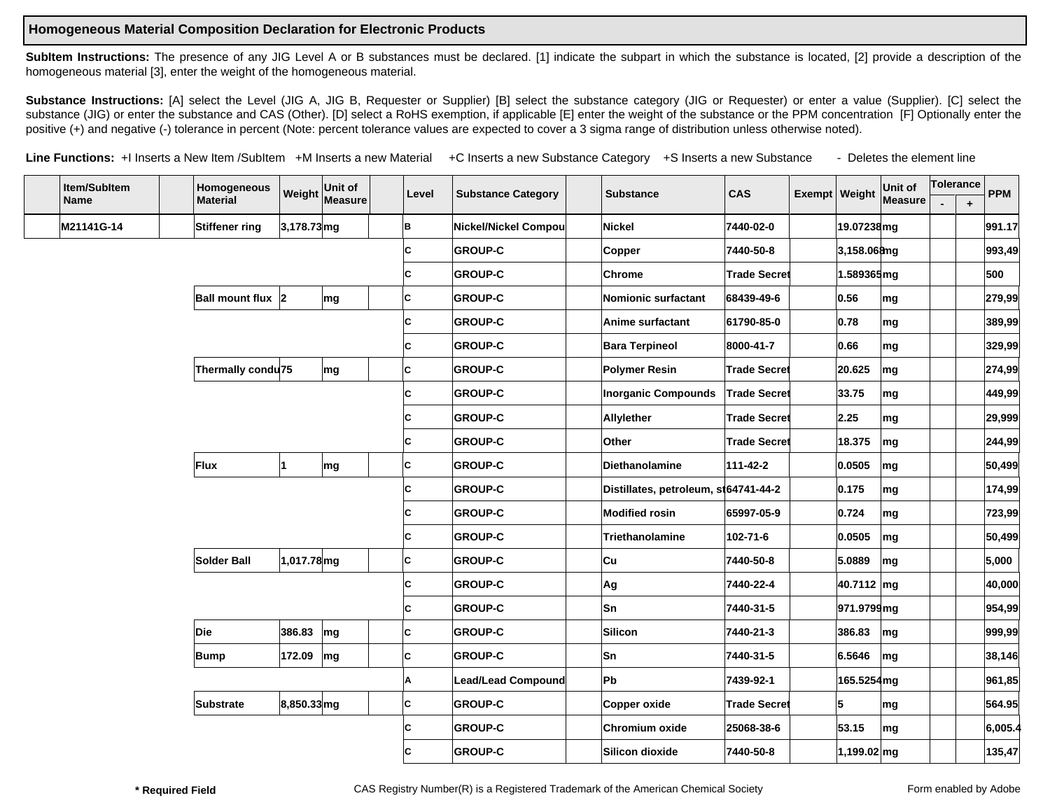## **Homogeneous Material Composition Declaration for Electronic Products**

SubItem Instructions: The presence of any JIG Level A or B substances must be declared. [1] indicate the subpart in which the substance is located, [2] provide a description of the homogeneous material [3], enter the weight of the homogeneous material.

Substance Instructions: [A] select the Level (JIG A, JIG B, Requester or Supplier) [B] select the substance category (JIG or Requester) or enter a value (Supplier). [C] select the substance (JIG) or enter the substance and CAS (Other). [D] select a RoHS exemption, if applicable [E] enter the weight of the substance or the PPM concentration [F] Optionally enter the positive (+) and negative (-) tolerance in percent (Note: percent tolerance values are expected to cover a 3 sigma range of distribution unless otherwise noted).

Line Functions: +I Inserts a New Item /SubItem +M Inserts a new Material +C Inserts a new Substance Category +S Inserts a new Substance - Deletes the element line

| Item/SubItem |            | Homogeneous       | Weight         | Unit of | Level | <b>Substance Category</b> | <b>Substance</b>                     | <b>CAS</b>          | Exempt   Weight |                      | Unit of        | Tolerance |           | <b>PPM</b> |
|--------------|------------|-------------------|----------------|---------|-------|---------------------------|--------------------------------------|---------------------|-----------------|----------------------|----------------|-----------|-----------|------------|
|              | Name       | <b>Material</b>   |                | Measure |       |                           |                                      |                     |                 |                      | <b>Measure</b> |           | $\ddot{}$ |            |
|              | M21141G-14 | Stiffener ring    | 3,178.73 mg    |         | B.    | Nickel/Nickel Compou      | <b>Nickel</b>                        | 7440-02-0           |                 | 19.07238mg           |                |           |           | 991.17     |
|              |            |                   |                |         | C     | <b>GROUP-C</b>            | Copper                               | 7440-50-8           |                 | 3,158.06 <b>a</b> ng |                |           |           | 993,49     |
|              |            |                   |                |         | C     | <b>GROUP-C</b>            | Chrome                               | <b>Trade Secret</b> |                 | 1.589365 mg          |                |           |           | 500        |
|              |            | Ball mount flux 2 |                | mg      | C     | <b>GROUP-C</b>            | Nomionic surfactant                  | 68439-49-6          |                 | 0.56                 | mg             |           |           | 279,99     |
|              |            |                   |                |         | C     | <b>GROUP-C</b>            | Anime surfactant                     | 61790-85-0          |                 | 0.78                 | mg             |           |           | 389,99     |
|              |            |                   |                |         | C     | <b>GROUP-C</b>            | <b>Bara Terpineol</b>                | 8000-41-7           |                 | 0.66                 | mg             |           |           | 329,99     |
|              |            | Thermally condu75 |                | mg      | C     | <b>GROUP-C</b>            | <b>Polymer Resin</b>                 | <b>Trade Secret</b> |                 | 20.625               | mg             |           |           | 274,99     |
|              |            |                   |                |         | C     | <b>GROUP-C</b>            | <b>Inorganic Compounds</b>           | <b>Trade Secret</b> |                 | 33.75                | mg             |           |           | 449,99     |
|              |            |                   |                |         | C     | <b>GROUP-C</b>            | Allylether                           | <b>Trade Secret</b> |                 | 2.25                 | mg             |           |           | 29,999     |
|              |            |                   |                |         | C     | <b>GROUP-C</b>            | Other                                | <b>Trade Secret</b> |                 | 18.375               | mg             |           |           | 244,99     |
|              |            | Flux              | 11             | mg      | C     | <b>GROUP-C</b>            | Diethanolamine                       | 111-42-2            |                 | 0.0505               | mg             |           |           | 50,499     |
|              |            |                   |                |         | C     | <b>GROUP-C</b>            | Distillates, petroleum, st64741-44-2 |                     |                 | 0.175                | mg             |           |           | 174,99     |
|              |            |                   |                |         | C     | <b>GROUP-C</b>            | <b>Modified rosin</b>                | 65997-05-9          |                 | 0.724                | mg             |           |           | 723,99     |
|              |            |                   |                |         | C     | <b>GROUP-C</b>            | Triethanolamine                      | 102-71-6            |                 | 0.0505               | mg             |           |           | 50,499     |
|              |            | Solder Ball       | 1,017.78 mg    |         | C     | <b>GROUP-C</b>            | <b>Cu</b>                            | 7440-50-8           |                 | 5.0889               | mg             |           |           | 5,000      |
|              |            |                   |                |         | C     | <b>GROUP-C</b>            | Ag                                   | 7440-22-4           |                 | 40.7112 mg           |                |           |           | 40,000     |
|              |            |                   |                |         | C     | <b>GROUP-C</b>            | <b>Sn</b>                            | 7440-31-5           |                 | 971.9799 mg          |                |           |           | 954,99     |
|              |            | Die               | 386.83         | mg      | C     | <b>GROUP-C</b>            | Silicon                              | 7440-21-3           |                 | 386.83               | mg             |           |           | 999,99     |
|              |            | Bump              | 172.09         | mg      | C     | <b>GROUP-C</b>            | Sn                                   | 7440-31-5           |                 | 6.5646               | mg             |           |           | 38,146     |
|              |            |                   |                |         | Α     | Lead/Lead Compound        | Pb                                   | 7439-92-1           |                 | 165.5254mg           |                |           |           | 961,85     |
|              |            | <b>Substrate</b>  | $ 8,850.33$ mg |         | c     | <b>GROUP-C</b>            | Copper oxide                         | <b>Trade Secret</b> |                 | 5                    | mg             |           |           | 564.95     |
|              |            |                   |                |         | C     | <b>GROUP-C</b>            | Chromium oxide                       | 25068-38-6          |                 | 53.15                | mg             |           |           | 6,005.4    |
|              |            |                   |                |         | C     | <b>GROUP-C</b>            | Silicon dioxide                      | 7440-50-8           |                 | $1,199.02$ mg        |                |           |           | 135,47     |